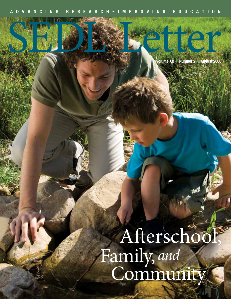**Volume XX** n **Number 2** n **August 2008**

SEL CI

### Afterschool, Family, Community *and*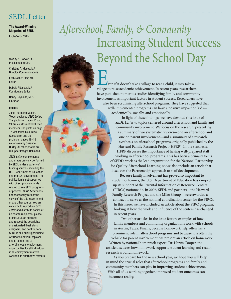### SEDL Letter

**The Award-Winning Magazine of SEDL** ISSN/520-7315

Wesley A. Hoover, PhD President and CEO

Christine A. Moses, MA Director, Communications

Leslie Asher Blair, MA Editor

Debbie Ritenour, MA Contributing Editor

Nancy Reynolds, MLS Librarian

#### **CREDITS**

Jane Thurmond (Austin, Texas) designed *SEDL Letter.*  The photos on pages 13 and 24 are courtesy of SEDL staff members. The photo on page 17 was taken by Jubilee Guequierre, and the photos on pages 18–19 were taken by Suzanne Hurley. All other photos are ©Jupiter Images Unlimited.

*SEDL Letter* complements and draws on work performed by SEDL under a variety of funding sources, including the U.S. Department of Education and the U.S. government. The publication is not supported with direct program funds related to any SEDL programs or projects. *SEDL Letter* does not necessarily reflect the views of the U.S. government or any other source. You are welcome to reproduce *SEDL Letter* and distribute copies at no cost to recipients; please credit SEDL as publisher and respect the copyrights of designated illustrators, designers, and contributors. SEDL is an Equal Opportunity/ Affirmative Action Employer and is committed to affording equal employment opportunities for all individuals in all employment matters. Available in alternative formats.

## Increasing Student Success Beyond the School Day *Afterschool, Family, & Community*

Even if it doesn't take a village to rear a child, it may take a village to raise academic achievement. In recent years, researchers have published numerous studies identifying family and community involvement as important factors in student success. Researchers have also been scrutinizing afterschool programs. They have suggested that well-implemented programs can have a positive impact on kids academically, socially, and emotionally.

 In light of these findings, we have devoted this issue of *SEDL Letter* to topics centered around afterschool and family and community involvement. We focus on the research, presenting a summary of two systematic reviews—one on afterschool and one on parent involvement—and a summary of a research synthesis on afterschool programs, originally published by the Harvard Family Research Project (HFRP). In the synthesis, HFRP discusses the importance of having well-prepared staff working in afterschool programs. This has been a primary focus of SEDL's work as the lead organization for the National Partnership for Quality Afterschool Learning, so we also include an article that discusses the Partnership's approach to staff development.

 Because family involvement has proved so important to student outcomes, the U.S. Department of Education has ramped up its support of the Parental Information & Resource Centers (PIRCs) nationwide. In 2006, SEDL and partners—the Harvard Family Research Project and the Miko Group—were awarded a contract to serve as the national coordination center for the PIRCs. In this issue, we have included an article about the PIRC program, looking at how the work and influence of the centers has changed in recent years.

 Two other articles in the issue feature examples of how family members and community organizations work with schools in Austin, Texas. Finally, because homework help often has a prominent role in afterschool programs and because it is often the vehicle for parent involvement, we present an article on homework. Written by national homework expert, Dr. Harris Cooper, the article discusses how homework supports student learning and recent research around homework.

 As you prepare for the new school year, we hope you will keep in mind the crucial roles that afterschool programs and family and community members can play in improving student achievement. With all of us working together, improved student outcomes can become a reality.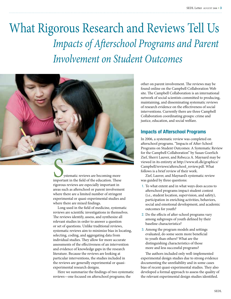### *Impacts of Afterschool Programs and Parent Involvement on Student Outcomes* What Rigorous Research and Reviews Tell Us



rigorous reviews are especially important in areas such as afterschool or parent involvement where there are a limited number of stringent experimental or quasi-experimental studies and where there are mixed findings.

Long used in the field of medicine, systematic reviews are scientific investigations in themselves. The reviews identify, assess, and synthesize all relevant studies in order to answer a question or set of questions. Unlike traditional reviews, systematic reviews aim to minimize bias in locating, selecting, coding, and aggregating data from individual studies. They allow for more accurate assessments of the effectiveness of an intervention and evidence of knowledge gaps in the research literature. Because the reviews are looking at particular interventions, the studies included in the reviews are generally experimental or quasiexperimental research designs.

Here we summarize the findings of two systematic reviews—one focused on afterschool programs; the

other on parent involvement. The reviews may be found online on the Campbell Collaboration Web site. The Campbell Collaboration is an international network of social scientists committed to producing, maintaining, and disseminating systematic reviews of research evidence on the effectiveness of social interventions. Currently there are three Campbell Collaboration coordinating groups: crime and justice, education, and social welfare.

#### **Impacts of Afterschool Programs**

In 2006, a systematic review was completed on afterschool programs. "Impacts of After-School Programs on Student Outcomes: A Systematic Review for the Campbell Collaboration" by Susan Goerlich Zief, Sherri Lauver, and Rebecca A. Maynard may be viewed in its entirety at http://www.sfi.dk/graphics/ Campbell/reviews/afterschool\_review.pdf. What follows is a brief review of their work.

Zief, Lauver, and Maynard's systematic review was guided by three questions:

- 1. To what extent and in what ways does access to afterschool programs impact student context (i.e., student location, supervision, and safety), participation in enriching activities, behaviors, social and emotional development, and academic outcomes for youth?
- 2. Do the effects of after-school programs vary among subgroups of youth defined by their baseline characteristics?
- 3. Among the program models and settings evaluated, do some seem more beneficial to youth than others? What are the distinguishing characteristics of those more and less successful programs?

The authors included only well-implemented experimental design studies due to strong evidence documenting the unreliability and in some cases bias of recent quasi-experimental studies. They also developed a formal approach to assess the quality of the relevant experimental design studies identified.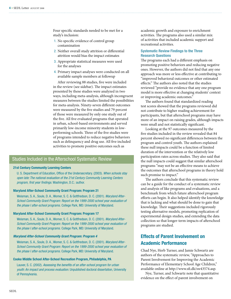Four specific standards needed to be met for a study's inclusion:

- 1. No specific evidence of control group contamination
- 2. Neither overall study attrition or differential attrition would bias the impact estimates
- 3. Appropriate statistical measures were used for the analyses
- 4. Primary impact analyses were conducted on all available sample members at followup

After reviewing 88 studies, five were included in the review (see sidebar). The impact estimates presented by these studies were analyzed in two ways, including meta-analysis, although incongruent measures between the studies limited the possibilities for meta-analysis. Ninety-seven different outcomes were measured by the five studies and 79 percent of those were measured by only one study out of the five. All five evaluated programs that operated in urban, school-based environments and served primarily low-income minority students in lowperforming schools. Three of the five studies were of programs intended to reduce negative behaviors such as delinquency and drug use. All five included activities to promote positive outcomes such as

#### Studies Included in the Afterschool Systematic Review

#### **21st Century Community Learning Centers**

U. S. Department of Education, Office of the Undersecretary. (2003). *When schools stay open late: The national evaluation of the 21st Century Community Learning Centers program, first year findings.* Washington, D.C.: author.

#### **Maryland After-School Community Grant Program: Program 21**

Weisman, S. A., Soule, D. A., Womer, S. C. & Gottfredson, D. C. (2001). *Maryland After-School Community Grant Program: Report on the 1999-2000 school year evaluation of the phase I after-school programs.* College Park, MD: University of Maryland.

#### **Maryland After-School Community Grant Program: Program 17**

Weisman, S. A., Soule, D. A., Womer, S. C. & Gottfredson, D. C. (2001). *Maryland After-School Community Grant Program: Report on the 1999-2000 school year evaluation of the phase I after-school programs.* College Park, MD: University of Maryland.

#### *Maryland After-School Community Grant Program: Program 4*

Weisman, S. A., Soule, D. A., Womer, S. C. & Gottfredson, D. C. (2001). *Maryland After-School Community Grant Program: Report on the 1999-2000 school year evaluation of the phase I after-school programs.* College Park, MD: University of Maryland.

#### **Cooke Middle School After-School Recreation Program, Philadelphia, PA**

Lauver, S. C. (2002). *Assessing the benefits of an after-school program for urban youth: An impact and process evaluation.* Unpublished doctoral dissertation, University of Pennsylvania.

academic growth and exposure to enrichment activities. The programs also used a similar mix of activities that included academic support and recreational activities.

#### **Systematic Review Findings to the Three Research Questions**

The programs each had a different emphasis on promoting positive behaviors and reducing negative ones. However, the authors did not find that any one approach was more or less effective at contributing to "improved behavioral outcomes or other estimated effects." The authors also noted that the studies reviewed "provide no evidence that any one program model is more effective at changing students' context or improving academic outcomes."

The authors found that standardized reading test scores showed that the programs reviewed did not contribute to higher reading achievement for participants, but that afterschool programs may have more of an impact on raising grades, although impacts were small and not statistically significant.

Looking at the 97 outcomes measured by the five studies included in the review revealed that 84 percent showed no significant differences between the program and control youth. The authors explained these null impacts could be a function of limited duration of the intervention or the relatively low participation rates across studies. They also said that the null impacts could suggest that similar afterschool programs "may not be an effective means to achieve the outcomes that afterschool programs in theory hold such promise to impact."

The authors conclude that this systematic review can be a guide for the conduct of a systematic review and analysis of like programs and evaluations, and a benchmark from which future afterschool program efforts can begin. It also helped identify the knowledge that is lacking and what should be done to gain that knowledge. Their suggestions included rigorously testing alternative models, promoting replication of experimental design studies, and extending the data collection so that longer-term impacts of afterschool programs are studied.

#### **Effects of Parent Involvement on Academic Performance**

Chad Nye, Herb Turner, and Jamie Schwartz are authors of the systematic review, "Approaches to Parent Involvement for Improving the Academic Performance of Elementary School Age Children," available online at http://www.sfi.dk/sw43574.asp.

Nye, Turner, and Schwartz note that quantitative evidence on the effect of parent involvement on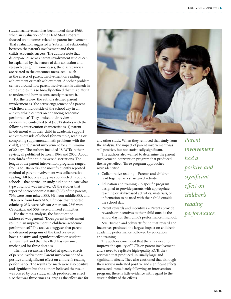student achievement has been mixed since 1966, when an evaluation of the Head Start Program focused on outcomes related to parent involvement. That evaluation suggested a "substantial relationship" between the parent's involvement and their child's academic success. The authors note that discrepancies across parent involvement studies can be explained by the nature of data collection and research design. In some cases, the discrepancies are related to the outcomes measured—such as the effects of parent involvement on reading achievement or math achievement. Another problem centers around how parent involvement is defined; in some studies it is so broadly defined that it is difficult to understand how to consistently measure it.

For the review, the authors defined parent involvement as "the active engagement of a parent with their child outside of the school day in an activity which centers on enhancing academic performance." They limited their review to randomized controlled trial (RCT) studies with the following intervention characteristics: 1) parent involvement with their child in academic support activities outside of school (for example, reading or completing supplemental math problems with the child), and 2) parent involvement for a minimum of 20 days. The authors included 18 RCTs in their review, all published between 1964 and 2000. About two thirds of the studies were dissertations. The length of the parent intervention programs ranged from 4 to 104 weeks; the most frequently reported method of parent involvement was collaborative reading. All but one study was conducted in public schools—that particular study did not indicate what type of school was involved. Of the studies that reported socioeconomic status (SES) of the parents, 73% were from mixed SES, 9% from middle SES, and 18% were from lower SES. Of those that reported ethnicity, 25% were African American, 25% were Caucasian, and 50% were of mixed ethnicities.

For the meta-analysis, the first question addressed was general: "Does parent involvement result in an improvement in children's academic performance?" The analysis suggests that parent involvement programs of the kind reviewed have a positive and significant effect on student achievement and that the effect has remained unchanged for three decades.

Then the researchers looked at specific effects of parent involvement. Parent involvement had a positive and significant effect on children's reading performance. The results for math were also positive and significant but the authors believed the result was biased by one study, which produced an effect size that was three times as large as the effect size for



any other study. When they removed that study from the analysis, the impact of parent involvement was still positive, but not statistically significant.

The authors also wanted to determine the parent involvement intervention program that produced the largest effect. Three program approaches were identified:

- Collaborative reading Parents and children read together as a structured activity.
- Education and training A specific program designed to provide parents with appropriate teaching or skills-based activities, materials, or information to be used with their child outside the school day.
- Parent rewards and incentives Parents provide rewards or incentives to their child outside the school day for their child's performance in school.

Nye, Turner, and Schwartz found that reward and incentives produced the largest impact on children's academic performance, followed by education and training.

The authors concluded that there is a need to improve the quality of RCTs on parent involvement and a need to replicate high-quality RCTs they reviewed that produced unusually large and significant effects. They also cautioned that although their review indicated positive and significant effects measured immediately following an intervention program, there is little evidence with regard to the sustainability of the effects.

*Parent involvement had a positive and significant effect on children's reading performance.*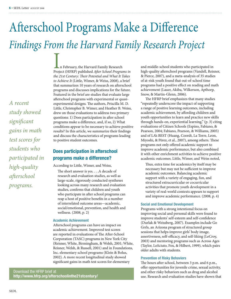# Afterschool Programs Make a Difference *Findings From the Harvard Family Research Project*

*A recent study showed significant gains in math test scores for students who participated in high-quality afterschool programs.*

In February, the Harvard Family Research Project (HFRP) published *After School Programs in the 21st Century: Their Potential and What It Takes to Achieve It* (Little, Wimer, & Weiss, 2008), a brief that summarizes 10 years of research on afterschool programs and discusses implications for the future. Featured in the brief are studies that evaluate large afterschool programs with experimental or quasiexperimental designs. The authors, Priscilla M. D. Little, Christopher B. Wimer, and Heather B. Weiss, drew on those evaluations to address two primary questions: 1) Does participation in after school programs make a difference, and, if so, 2) What conditions appear to be necessary to achieve positive results? In this article, we summarize their findings and discuss the characteristics of programs leading to positive student outcomes.

#### **Does participation in afterschool programs make a difference?**

According to Little, Wimer, and Weiss,

The short answer is yes. . . .A decade of research and evaluation studies, as well as large-scale, rigorously conducted syntheses looking across many research and evaluation studies, confirms that children and youth who participate in after school programs can reap a host of positive benefits in a number of interrelated outcome areas—academic, social/emotional, prevention, and health and wellness. (2008, p. 2)

#### **Academic Achievement**

Afterschool programs can have an impact on academic achievement. Improved test scores are reported in evaluations of The After-School Corporation (TASC) programs in New York City (Reisner, White, Birmingham, & Welsh, 2001; White, Reisner, Welsh, & Russell, 2001) and in Foundations, Inc. elementary school programs (Klein & Bolus, 2002). A more recent longitudinal study showed significant gains in math test scores for elementary

Download the HFRP brief at **http://www.hfrp.org/afterschoolinthe21stcentury/** and middle-school students who participated in high-quality afterschool programs (Vandell, Reisner, & Pierce, 2007), and a meta-analysis of 35 studies of at-risk youth found that out-of-school time programs had a positive effect on reading and math achievement (Lauer, Akiba, Wilkerson, Apthorp, Snow, & Martin-Glenn, 2006).

The HFRP brief emphasizes that many studies "repeatedly underscore the impact of supporting a range of positive learning outcomes, including academic achievement, by affording children and youth opportunities to learn and practice new skills through hands-on, experiential learning," (p. 3) citing evaluations of Citizen Schools (Espino, Fabiano, & Pearson, 2004; Fabiano, Pearson, & Williams, 2005) and of LA's BEST (Huang, Coordt, La Torre, Leon, Miyoshi, & Pèrez, et al., 2007), among others. These programs not only offered academic support to improve academic performance, but also combined it with other enrichment activities to achieve positive academic outcomes. Little, Wimer, and Weiss noted,

Thus, extra time for academics by itself may be necessary but may not be sufficient to improve academic outcomes. Balancing academic support with a variety of engaging, fun, and structured extracurricular or cocurricular activities that promote youth development in a variety of real-world contexts appears to support and improve academic performance. (2008, p. 4)

#### **Social and Emotional Development**

Programs with a strong intentional focus on improving social and personal skills were found to improve students' self-esteem and self-confidence (Durlak & Weissberg, 2007). Examples include Go Grrls, an Arizona program of structured group sessions that helps improve girls' body image, assertiveness, self-efficacy, and self-liking (LeCroy, 2003) and mentoring programs such as Across Ages (Taylor, LoSciuto, Fox, & Hilbert, 1999), which pairs older adults with students.

#### **Prevention of Risky Behaviors**

The hours after school, between 3 p.m. and 6 p.m., offer opportunities for juvenile crime, sexual activity, and other risky behaviors such as drug and alcohol use. Research and evaluation studies have shown that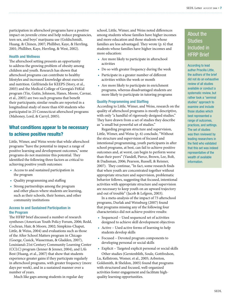participation in afterschool programs have a positive impact on juvenile crime and help reduce pregnancies, teen sex, and boys' marijuana use (Goldschmidt, Huang, & Chinen, 2007; Philliber, Kaye, & Herrling, 2001; Philliber, Kaye, Herrling, & West, 2002).

#### **Health and Wellness**

The afterschool setting presents an opportunity to address the growing problem of obesity among children and youth. Research has shown that afterschool programs can contribute to healthy lifestyles and increased knowledge about exercise and nutrition. Girlfriends for KEEPS (Story, et al., 2003) and the Medical College of Georgia's FitKid program (Yin, Gutin, Johnson, Hanes, Moore, Cavnar, et al., 2005) are two such programs that benefit their participants; similar results are reported in a longitudinal study of more than 650 students who participated in 25 Connecticut afterschool programs (Mahoney, Lord, & Carryl, 2005).

#### **What conditions appear to be necessary to achieve positive results?**

Little, Wimer, and Weiss wrote that while afterschool programs "have the potential to impact a range of positive learning and development outcomes," some programs do not maximize this potential. They identified the following three factors as critical to achieving positive youth outcomes:

- • Access to and sustained participation in the program
- • Quality programming and staffing
- Strong partnerships among the program and other places where students are learning, such as their schools, their homes, and other community institutions

#### **Access to and Sustained Participation in the Program**

The HFRP brief discussed a number of research syntheses (American Youth Policy Forum, 2006; Redd, Cochran, Hair, & Moore, 2002; Simpkins-Chaput, Little, & Weiss, 2004) and evaluations such as those of the After School Matters program in Chicago (Goerge, Cusick, Wasserman, & Gladden, 2007), Louisiana's 21st Century Community Learning Center (CCLC) program (Jenner & Jenner, 2004), and LA's Best (Huang, et al., 2007) that show that students experience greater gains if they participate regularly in afterschool programs, with greater frequency (more days per week), and in a sustained manner over a number of years.

Much like gaps among students in regular day

school, Little, Wimer, and Weiss noted differences among students whose families have higher incomes and more education and those students whose families are less advantaged. They wrote (p. 6) that students whose families have higher incomes and more education:

- Are more likely to participate in afterschool activities
- Do so with greater frequency during the week
- Participate in a greater number of different activities within the week or month
- Are more likely to participate in enrichment programs, whereas disadvantaged students are more likely to participate in tutoring programs

#### **Quality Programming and Staffing**

According to Little, Wimer, and Weiss, research on the quality of afterschool programs is mostly descriptive, with only "a handful of rigorously designed studies." They have drawn from a set of studies they describe as "a small but powerful set of studies."

Regarding program structure and supervision, Little, Wimer, and Weiss (p. 6) conclude, "Without the structure and supervision of focused and intentional programming, youth participants in after school programs, at best, can fail to achieve positive outcomes and, at worst, can begin to perform worse than their peers" (Vandell, Pierce, Brown, Lee, Bolt, & Dadisman, 2006; Pearson, Russell, & Reisner, 2007). They continue, "In fact, some research finds that when youth are concentrated together without appropriate structure and supervision, problematic behavior follows, suggesting that focused, intentional activities with appropriate structure and supervision are necessary to keep youth on an upward trajectory and out of trouble" (Jacob & Lefgren, 2003).

In a meta-analysis of the impact of 73 afterschool programs, Durlak and Weissburg (2007) found that programs missing any of the following four characteristics did not achieve positive results:

- Sequenced Used sequenced set of activities designed to achieve skill development objectives
- • Active Used active forms of learning to help students develop skills
- Focused Devoted program components to developing personal or social skills
- • Explicit Targeted explicit personal or social skills Other studies (Gerstenblith, Soule, Gottfredson,

Lu, Kellstrom, Womer, et al., 2005; Arbreton, Goldsmith, & Sheldon, 2005) found that programs with structured and focused, well-organized activities foster engagement and facilitate highquality learning opportunities.

### About the Studies Included in HFRP Brief

According to lead author Priscilla Little, the authors of the brief did not do an exhaustive review of all studies available or conduct a systematic review, but rather took a "seminal studies" approach to examine and include those studies which best represented a range of outcomes, practices, and settings. The set of studies was then reviewed by leading researchers in the field who validated that this set was indeed representative of the wealth of available information.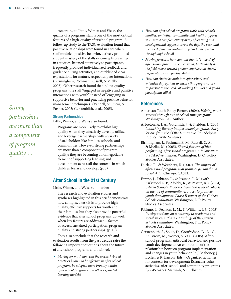According to Little, Wimer, and Weiss, the quality of a program's staff is one of the most critical features of a high-quality afterschool program. A follow-up study to the TASC evaluation found that positive relationships were found in sites where staff modeled positive behavior, actively promoted student mastery of the skills or concepts presented in activities, listened attentively to participants, frequently provided individualized feedback and guidance during activities, and established clear expectations for mature, respectful peer interactions (Birmingham, Pechman, Russell, & Mielke, 2005). Other research found that in low-quality programs, the staff "engaged in negative and punitive interactions with youth" instead of "engaging in supportive behavior and practicing positive behavior management techniques" (Vandell, Shumow, & Posner, 2005; Gerstenblith, et al., 2005).

*Strong partnerships are more than a component of program quality. . .* 

#### **Strong Partnerships**

Little, Wimer, and Weiss also found:

Programs are more likely to exhibit high quality when they effectively develop, utilize, and leverage partnerships with a variety of stakeholders like families, schools, and communities. However, strong partnerships are more than a component of program quality: they are becoming a nonnegotiable element of supporting learning and development across all the contexts in which children learn and develop. (p. 8)

#### **After School in the 21st Century**

Little, Wimer, and Weiss summarize:

The research and evaluation studies and syntheses highlighted in this brief demonstrate how complex a task it is to provide highquality, effective supports for youth and their families, but they also provide powerful evidence that after school programs do work when key factors are addressed—factors of access, sustained participation, program quality and strong partnerships. (p. 10)

They also conclude that the research and evaluation results from the past decade raise the following important questions about the future of afterschool programs and their role:

• *Moving forward, how can the research-based practices known to be effective in after school programs be adopted more broadly within after school programs and other expanded learning models?*

- • *How can after school programs work with schools, families, and other community and health supports to ensure a complementary array of learning and developmental supports across the day, the year, and the developmental continuum from kindergarten through high school?*
- • *Moving forward, how can and should "success" of after school programs be measured, particularly as the field moves toward greater emphasis on shared responsibility and partnerships?*
- • *How can choice be built into after school and extended day options to ensure that programs are responsive to the needs of working families and youth participants alike?*

#### **References**

- American Youth Policy Forum. (2006). *Helping youth succeed through out-of-school time programs*. Washington, DC: Author.
- Arbreton, A. J. A., Goldmith, J., & Sheldon, J. (2005). *Launching literacy in after-school programs: Early lessons from the CORAL initiative*. Philadelphia: Public/Private Ventures.
- Birmingham, J., Pechman, E. M., Russell, C. A., & Mielke, M. (2005). *Shared features of highperforming after-school programs: A follow-up to the TASC evaluation*. Washington, D. C.: Policy Studies Associates.
- Durlak, R., & Weissberg, R. (2007). *The impact of after-school programs that promote personal and social skills*. Chicago: CASEL.
- Espino, J., Fabiano, L., & Pearson, L. M. (with Kirkwood K. P., Afolabi, K., & Pasatta, K.). (2004). *Citizen Schools: Evidence from two student cohorts on the use of community resources to promote youth development. Phase II report of the Citizen Schools evaluation*. Washington, DC: Policy Studies Associates.
- Fabiano, L., Pearson, L. M., & Williams, I. J. (2005). *Putting students on a pathway to academic and social success: Phase III findings of the Citizen Schools evaluation.* Washington, DC: Policy Studies Associates.
- Gerstenblith, S., Soule, D., Gottfredson, D., Lu, S., Kellstrom, M., Womer, S., et al. (2005). Afterschool programs, antisocial behavior, and positive youth development: An exploration of the relationship between program implementation and changes in youth behavior. In J. Mahoney, J. Eccles, & R. Larson (Eds.), Organized activities for contexts for development: Extracurricular activities, after-school, and community programs (pp. 457-477). Mahwah, NJ: Erlbaum.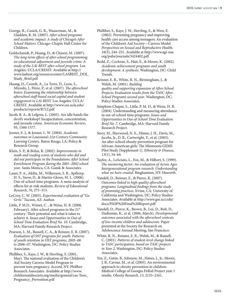Goerge, R., Cusick, G. R., Wasserman, M., & Gladden, R. M. (2007). *After-school programs and academic impact: A study of Chicago's After School Matters*. Chicago: Chapin Hall Center for Children.

Goldschmidt, P., Huang, D., & Chinen, M. (2007). T*he long-term effects of after-school programming on educational adjustment and juvenile crime: A study of the LA's BEST after-school program.* Los Angeles: UCLA/CRESST. Available at http:// www.lasbest.org/resourcecenter/LASBEST\_DOJ\_ Study\_Brief.pdf

Huang, D., Coordt, A., La Torre, D., Leon, S., Miyoshi, J., Pérez, P., et al. (2007). *The afterschool hours: Examining the relationship between afterschool staff-based social capital and student engagement in LA's BEST.* Los Angeles: UCLA/ CRESST. Available at http://www.cse.ucla.edu/ products/reports/R712.pdf

Jacob, B. A., & Lefgren, L. (2003). Are idle hands the devil's workshop? Incapacitation, concentration, and juvenile crime. *American Economic Review*, 93, 1560-1577.

Jenner, E. J., & Jenner, L. W. (2004). *Academic outcomes in Louisiana's 21st Century Community Learning Centers*. Baton Rouge, LA: Policy & Research Group.

Klein, S. P., & Bolus, R. (2002). *Improvements in math and reading scores of students who did and did not participate in the Foundations After School Enrichment Program during the 2001–2002 school year*. Santa Monica, CA: Gansk & Associates.

Lauer, P. A., Akiba, M., Wilkerson, S. B., Apthorp, H. S., Snow, D., & Martin-Glenn, M. L. (2006). Out-of-school time programs: A meta-analysis of effects for at-risk students. *Review of Educational Research*, *76*, 275–313.

LeCroy, C. W. (2003). *Experimental evaluation of "Go Grrls."* Tucson, AZ: Author.

Little, P. M.D., Wimer, C. , & Weiss, H. B. (2008, February). After school programs in the 21<sup>st</sup> century: Their potential and what it takes to achieve it. *Issues and Opportunities in Out-of-School Time Evaluation Brief No. 10*. Cambridge, MA: Harvard Family Research Project.

Pearson, L. M., Russell, C. A., & Reisner, E. R. (2007). *Evaluation of OST programs for youth: Patterns of youth retention in OST programs, 2005–06 to 2006–07*. Washington, DC: Policy Studies Associates.

Philliber, S., Kaye, J. W., & Herrling, S. (2001, May). The national evaluation of the Children's Aid Society Carrera-Model Program to prevent teen pregnancy. Accord, NY: Phillber Research Associates. Available at http://www. childrensaidsociety.org/media/general/cas-Teen\_ Pregnancy\_Prevention.pdf

Philliber, S., Kaye, J. W., Herrling, S., & West, E. (2002). Preventing pregnancy and improving health care access among teenagers: An evaluation of the Children's Aid Society—Carrera Model. *Perspectives on Sexual and Reproductive Health, 34*(5), 244–251. Available at http://www.agi-usa. org/pubs/journals/3424402.pdf

Redd, Z., Cochran, S., Hair, E., & Moore, K. (2002). *Academic achievement programs and youth development: A synthesis*. Washington, DC: Child Trends.

Reisner, E. R., White, R. N., Birmingham, J., & Welsh, M. (2001). *Building quality and supporting expansion of After-School Projects: Evaluation results from the TASC After-School Program's second year*. Washington, DC: Policy Studies Associates.

Simpkins-Chaput, S., Little, P. M. D., & Weiss, H. B. (2004). Understanding and measuring attendance in out-of-school time programs. *Issues and Opportunities in Out-of-School Time Evaluation Brief No. 7*. Cambridge, MA: Harvard Family Research Project.

Story, M., Sherwood, N. E., Himes, J. H., Davis, M., Jacobs, Jr., D. R., Cartwright, Y., et al. (2003). An after-school obesity prevention program for African-American girls: The Minnesota GEMS Pilot Study [Supplement 1]. *Ethnicity & Disease*, *13*(1), 54–64.

Taylor, A., LoSciuto, L., Fox, M., & Hilbert, S. (1999). *The mentoring factor: An evaluation of Across Ages. Intergenerational program research: Understanding what we have created*. Binghamton, NY: Haworth.

Vandell, D., Reisner, E., & Pierce, K. (2007). *Outcomes linked to high-quality afterschool programs: Longitudinal findings from the study of promising practices*. Irvine, CA: University of California and Washington, DC: Policy Studies Associates. Available at http://www.gse.uci.edu/ docs/PASP%20Final%20Report.pdf

Vandell, D., Pierce, K., Brown, B., Lee, D., Bolt, D., Dadisman, K., et al. (2006, March). *Developmental outcomes associated with the afterschool contexts of low-income children and adolescents*. Paper presented at the Society for Research on Adolescence Annual Meeting, San Francisco.

White, R. N., Reisner, E. R., Welsh, M., & Russell, C. (2001). *Patterns of student-level change linked to TASC participation, based on TASC projects in Year 2*. Washington, DC: Policy Studies Associates.

Yin, Z., Gutin, B., Johnson, M., Hanes, J., Jr., Moore, J. B., Cavnar, M., et al. (2005). An environmental approach to obesity prevention in children: Medical College of Georgia FitKid Project year 1 results. *Obesity Research, 13*, 2153–2161.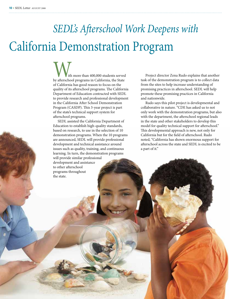## *SEDL's Afterschool Work Deepens with*  California Demonstration Program

With more than 400,000 students served by afterschool programs in California, the State of California has good reason to focus on the quality of its afterschool programs. The California Department of Education contracted with SEDL to provide research and professional development in the California After School Demonstration Program (CASDP). This 3-year project is part of the state's technical support system for afterschool programs.

SEDL assisted the California Department of Education to establish high-quality standards, based on research, to use in the selection of 10 demonstration programs. When the 10 programs are announced, SEDL will provide professional development and technical assistance around issues such as quality, training, and continuous learning. In turn, the demonstration programs will provide similar professional development and assistance

to other afterschool programs throughout

the state.

Project director Zena Rudo explains that another task of the demonstration program is to collect data from the sites to help increase understanding of promising practices in afterschool. SEDL will help promote these promising practices in California and nationwide.

Rudo says this pilot project is developmental and collaborative in nature. "CDE has asked us to not only work with the demonstration programs, but also with the department, the afterschool regional leads in the state and other stakeholders to develop this model for quality technical support for afterschool." This developmental approach is new, not only for California but for the field of afterschool. Rudo noted, "California has shown enormous support for afterschool across the state and SEDL is excited to be a part of it."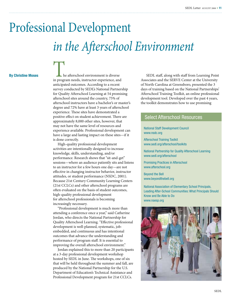# Professional Development *in the Afterschool Environment*

**By Christine Moses**

The afterschool environment is diverse in program needs, instructor experience, and anticipated outcomes. According to a recent survey conducted by SEDL's National Partnership for Quality Afterschool Learning at 54 promising afterschool sites around the country, 75% of afterschool instructors have a bachelor's or master's degree and 72% have at least 3 years of afterschool experience. These sites have demonstrated a positive effect on student achievement. There are approximately 8,000 other sites, however, that may not have the same level of resources and experience available. Professional development can have a large and lasting impact on these sites—if it is done correctly.

High-quality professional development activities are intentionally designed to increase knowledge, skills, understanding, and/or performance. Research shows that "sit-and-get" sessions—where an audience patiently sits and listens to an instructor for a few hours one day—are not effective in changing instructor behavior, instructor attitudes, or student performance (NSDC, 2001). Because 21st Century Community Learning Centers (21st CCLCs) and other afterschool programs are often evaluated on the basis of student outcomes, high-quality professional development for afterschool professionals is becoming increasingly necessary.

"Professional development is much more than attending a conference once a year," said Catherine Jordan, who directs the National Partnership for Quality Afterschool Learning. "Effective professional development is well-planned, systematic, jobembedded, and continuous and has intentional outcomes that advance the understanding and performance of program staff. It is essential to improving the overall afterschool environment."

Jordan explained this to more than 20 participants at a 3-day professional development workshop hosted by SEDL in June. The workshops, one of six that will be held throughout the summer and fall, are produced by the National Partnership for the U.S. Department of Education's Technical Assistance and Professional Development program for 21st CCLCs.

 SEDL staff, along with staff from Learning Point Associates and the SERVE Center at the University of North Carolina at Greensboro, presented the 3 days of training based on the National Partnerships' Afterschool Training Toolkit, an online professional development tool. Developed over the past 4 years, the toolkit demonstrates how to use promising

#### Select Afterschool Resources

National Staff Development Council www.nsdc.org

Afterschool Training Toolkit www.sedl.org/afterschool/toolkits

National Partnership for Quality Afterschool Learning www.sedl.org/afterschool

Promising Practices in Afterschool www.afterschool.org

Beyond the Bell www.beyondthebell.org

National Association of Elementary School Principals, Leading After-School Communities: What Principals Should Know and Be Able to Do www.naesp.org

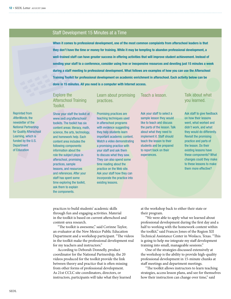#### Staff Development 15 Minutes at a Time

**When it comes to professional development, one of the most common complaints from afterschool leaders is that they don't have the time or money for training. While it may be tempting to abandon professional development, a well-trained staff can have greater success in offering activities that will improve student achievement. Instead of sending your staff to a conference, consider using free or inexpensive resources and devoting just 15 minutes a week during a staff meeting to professional development. What follows are examples of how you can use the Afterschool Training Toolkit for professional development on academic enrichment in afterschool. Each activity below can be done in 15 minutes. All you need is a computer with Internet access.**

#### Explore the Afterschool Training Toolkit.

Show your staff the toolkit at www.sedl.org/afterschool/ toolkits. The toolkit has six content areas: literacy, math, science, the arts, technology, and homework help. Each content area includes the following components: information about the role the subject plays in afterschool, promising practices, sample lessons, and resources and references. After your staff has spent some time exploring the toolkit, ask them to explain the components.

#### Learn about promising practices.

Promising practices are teaching techniques used in afterschool programs with evidence suggesting they help students learn important academic content. Watch a video demonstrating a promising practice with your staff and ask them to discuss what they saw. They can also spend some time reading about the practice on the Web site. Ask your staff how they can incorporate the practice into existing lessons.

Teach a lesson.

Ask your staff to select a sample lesson they would like to teach and discuss the parts of the lesson. Talk about what they need to implement it. Staff should teach the lesson to their students and be prepared to report back on their experiences.

#### Talk about what you learned.

Ask staff to give feedback on how their lessons went, what worked and didn't work, and what they would do differently. Revisit the promising practice and parts of the lesson. Do their existing lessons have these components? What changes could they make to these lessons to make them more effective?

practices to build students' academic skills through fun and engaging activities. Material in the toolkit is based on current afterschool and content-area research.

"The toolkit is awesome," said Corinne Taylor, an evaluator at the New Mexico Public Education Department and a workshop participant. "The videos in the toolkit make the professional development real for my teachers and instructors."

According to Deborah Donnelly, product coordinator for the National Partnership, the 20 videos produced for the toolkit provide the link between theory and practice that is often missing from other forms of professional development. As 21st CCLC site coordinators, directors, or instructors, participants will take what they learned at the workshop back to either their state or their program.

"We were able to apply what we learned about professional development during the first day and a half to working with the homework content within the toolkit," said Frances Jones of the Region XII Technical Assistance Center in Weslaco, Texas. "This is going to help me integrate my staff development training into small, manageable sessions."

One of the strategies discussed extensively at the workshop is the ability to provide high-quality professional development in 15-minute chunks at staff meetings and department meetings.

"The toolkit allows instructors to learn teaching strategies, access lesson plans, and see for themselves how their instruction can change over time," said

Reprinted from *AfterWords,* the newsletter of the National Partnership for Quality Afterschool Learning, which is funded by the U.S. **Department** of Education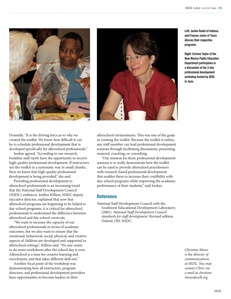



**Left: Jackie Rudat of Indiana, and Frances Jones of Texas discuss their respective programs.**

**Right: Corinne Taylor of the New Mexico Public Education Department participates in a discussion at the 3-day professional development workshop hosted by SEDL in June.**

Donnelly. "It is the driving force as to why we created the toolkit. We know how difficult it can be to schedule professional development that is developed specifically for afterschool professionals."

Jordan agreed. "According to our research, frontline staff rarely have the opportunity to receive high-quality professional development. If instructors use the toolkit in a systematic way in small chunks, then we know that high-quality professional development is being provided," she said.

Providing professional development to afterschool professionals is an increasing trend that the National Staff Development Council (NSDC) embraces. Joellen Killion, NSDC deputy executive director, explained that now that afterschool programs are beginning to be linked to day-school programs, it is critical for afterschool professionals to understand the difference between afterschool and day-school curricula.

"We want to increase the capacity of our afterschool professionals in terms of academic outcomes, but we also want to ensure that the emotional, behavioral, social, physical, and creative aspects of children are developed and supported in afterschool settings," Killion said. "No one wants to do more worksheets after the school day is over. Afterschool is a time for creative learning and enrichment, and that takes different skill sets."

Another focal point of the workshop was demonstrating how all instructors, program directors, and professional development providers have opportunities to become leaders in their

afterschool environments. This was one of the goals in creating the toolkit. Because the toolkit is online, any staff member can lead professional development sessions through facilitating discussions, presenting material, coaching, or consulting.

"Our mission for these professional development sessions is to really demonstrate how the toolkit can be used to provide afterschool practitioners with research-based professional development that enables them to increase their credibility with day-school programs while improving the academic performance of their students," said Jordan.

#### **Reference**

National Staff Development Council with the Southwest Educational Development Laboratory. (2001). *National Staff Development Council standards for staff development.* Revised edition. Oxford, OH: NSDC.

> *Christine Moses is the director of communications at SEDL. You may contact Chris via e-mail at christine. moses@sedl.org.*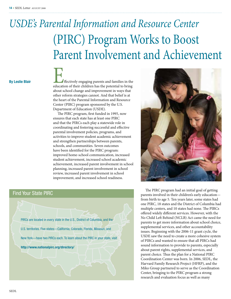### *USDE's Parental Information and Resource Center* (PIRC) Program Works to Boost Parent Involvement and Achievement

**By Leslie Blair**

Effectively engaging parents and families in the education of their children has the potential to bring about school change and improvement in ways that other reform strategies cannot. And that belief is at the heart of the Parental Information and Resource Center (PIRC) program sponsored by the U.S. Department of Education (USDE).

The PIRC program, first funded in 1995, now ensures that each state has at least one PIRC and that the PIRCs each play a statewide role in coordinating and fostering successful and effective parental involvement policies, programs, and activities to improve student academic achievement and strengthen partnerships between parents, schools, and communities. Seven outcomes have been identified for the PIRC program: improved home-school communication, increased student achievement, increased school academic achievement, increased parent involvement in school planning, increased parent involvement in school review, increased parent involvement in school improvement, and increased school readiness.

#### Find Your State PIRC





The PIRC program had an initial goal of getting parents involved in their children's early education from birth to age 5. Ten years later, some states had one PIRC, 18 states and the District of Columbia had multiple centers, and 10 states had none. The PIRCs offered widely different services. However, with the No Child Left Behind (NCLB) Act came the need for parents to get more information about school choice, supplemental services, and other accountability issues. Beginning with the 2006-11 grant cycle, the USDE saw the need to create a more cohesive system of PIRCs and wanted to ensure that all PIRCs had sound information to provide to parents, especially about parent rights, supplemental services, and parent choice. Thus the plan for a National PIRC Coordination Center was born. In 2006, SEDL, the Harvard Family Research Project (HFRP), and the Miko Group partnered to serve as the Coordination Center, bringing to the PIRC program a strong research and evaluation focus as well as many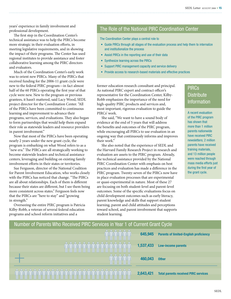years' experience in family involvement and professional development.

The first step in the Coordination Center's technical assistance was to help the PIRCs become more strategic in their evaluation efforts, in meeting legislative requirements, and in showing the impact of their programs. The Center has used regional institutes to provide assistance and foster collaborative learning among the PIRC directors and evaluators.

Much of the Coordination Center's early work was to orient new PIRCs. Many of the PIRCs that received funding for the 2006-11 grant cycle were new to the federal PIRC program—in fact almost half of the 60 PIRCs operating the first year of that cycle were new. New to the program or previous grantees, it hasn't mattered, said Lacy Wood, SEDL project director for the Coordination Center. "All of the PIRCs have been committed to continuous learning and improvement to advance their programs, services, and evaluations. They also began to form partnerships that would help them expand their role as statewide leaders and resource providers in parent involvement."

Now that most of the PIRCs have been operating nearly 2 years under the new grant cycle, the program is embarking on what Wood refers to as a "new era." The PIRCs are all strategically working to become statewide leaders and technical assistance centers, leveraging and building on existing family involvement efforts in their states or territories.

Sue Ferguson, director of the National Coalition for Parent Involvement Education, who works closely with the PIRCs has noticed that change. "The PIRCs are all about relationships. Each of them is different because their states are different, but I see them being more consistent across states." Ferguson feels now that the PIRCs are "here to stay" and "growing in strength."

Overseeing the entire PIRC program is Patricia Kilby-Robb, a veteran of several federal education programs and school reform initiatives and a

#### The Role of the National PIRC Coordination Center

The Coordination Center plays a central role to

- Guide PIRCs through all stages of the evaluation process and help them to internalize and institutionalize the process
- Assist PIRCs in the reporting and use of their data
- • Synthesize learning across the PIRCs
- Support PIRC management capacity and service delivery
- Provide access to research-based materials and effective practices

former education research consultant and principal. As national PIRC expert and contract officer's representative for the Coordination Center, Kilby-Robb emphasizes the importance of the need for high-quality PIRC products and services and, most important, rigorous evaluation to guide the PIRCs' work.

She said, "We want to have a sound body of evidence at the end of 5 years that will address the benefits and outcomes of the PIRC program, while encouraging all PIRCs to use evaluation in an ongoing way that continuously informs and improves their work."

She also noted that the experience of SEDL and the Harvard Family Research Project in research and evaluation are assets to the PIRC program. Already, the technical assistance provided by the National PIRC Coordination Center with emphasis on best practices and evaluation has made a difference in the PIRC program. Twenty-seven of the PIRCs now have in place evaluation processes that are experimental or quasi-experimental in nature. Most of these 27 are focusing on both student-level and parent-level outcomes. Some of the specific evaluations focus on child development outcomes such as early literacy, parent knowledge and skills that support student learning, parent and child attitudes and perceptions toward school, and parent involvement that supports student learning.

### PIRCs **Distribute** Information

A recent evaluation of the PIRC program has shown that more than 1 million parents nationwide have received PIRC newsletters; 2 million parents have received training materials, and 13 million people were reached through mass media efforts just during the first year of the grant cycle.

| Number of Parents Who Received PIRC Services in Year 1 of Current Grant Cycle |           |                                               |
|-------------------------------------------------------------------------------|-----------|-----------------------------------------------|
| , W , W , W , W ,                                                             | 645,945   | <b>Parents of limited-English proficiency</b> |
|                                                                               | 1,537,433 | <b>Low-income parents</b>                     |
|                                                                               | 460,043   | <b>Other</b>                                  |
|                                                                               | 2,643,421 | <b>Total parents received PIRC services</b>   |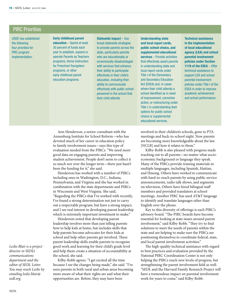#### PIRC Priorities

USDE has established the following four priorities for PIRC program implementation:

**Early childhood parent education** – Spend at least 30 percent of funds each year to establish, expand or operate Parents as Teachers programs, Home Instruction for Preschool Youngsters programs, or other early childhood parent education programs.

**Statewide impact** – Use broad statewide strategies to provide parents across the state, particularly parents who are educationally or economically disadvantaged with services that enhance their ability to participate effectively in their child's education, including their ability to communicate effectively with public school personnel in the school that their child attends.

**Understanding state and local report cards, public school choice, and supplemental educational services** – Provide activities that effectively assist parents in understanding state and local report cards under Title I of the Elementary and Secondary Education Act (ESEA) and, in cases where their child attends a school identified as in need of improvement, corrective action, or restructuring under Title I, in understanding their options for public school choice or supplemental educational services.

**Technical assistance in the implementation of local educational agency (LEA) and school parental involvement policies under Section 1118 of the ESEA** – Offer technical assistance to support LEA and school parental involvement policies under Title I of the ESEA in order to improve academic achievement and school performance.

Ann Henderson, a senior consultant with the Annenburg Institute for School Reform—who has devoted much of her career in education policy to family involvement issues—says this type of evaluation needed from the PIRCs. "We need more good data on engaging parents and improving student achievement. People don't seem to collect it so much nor over the longer term—there just hasn't been the funding for it," she said.

Henderson has worked with a number of PIRCs including ones in Washington, D.C., Indiana, Pennsylvania, and Virginia and she has worked in combination with the state departments and PIRCs in Wisconsin and West Virginia. She said, "Regarding the PIRCs that I've worked with recently, I've found a strong determination not just to carry out a respectable program, but have a strong impact, and I see real interest in developing parent leadership which is extremely important investment to make."

Henderson noted that developing parent leadership involves more than just telling parents how to help kids at home, but includes skills that help parents become advocates for their kids at school and help other parents get involved. These parent leadership skills enable parents to recognize good work and learning for their child's grade level and help them create a situation of accountability at the school, she said.

Kilby-Robb agrees. "I get excited all the time because I see the changes being made," she said. "I've seen parents in both rural and urban areas becoming more aware of what their rights are and what their opportunities are. Before, they may have been

involved in their children's schools, gone to PTA meetings and back-to-school night. Now parents are becoming more knowledgeable about the law [NCLB] and how it relates to them."

Kilby-Robb is also pleased with progress made reaching out to all parents—no matter what socioeconomic background or language they speak. Many of the PIRCs provide training materials in multiple languages, including Spanish, Haitian, and Hmong. Others have worked to communicate with hard-to-reach parents by using public service announcements, radio talk shows, and segments on television. Others have hired bilingual staff members and provided translators at school meetings. Another PIRC has used AT&T language to identify and translate languages other than English over the phone.

Key to this diversity of offerings is each PIRC's advisory board. "The PIRC boards have become essential for looking at state issues around parent involvement," said Kilby-Robb. "They try to find solutions to meet the needs of parents within the state and are helping to make sure the PIRCs are positioning themselves to coordinate federal, state, and local parent involvement activities."

The high-quality technical assistance with regard to best practices and evaluation provided by the National PIRC Coordination Center is not only helping the PIRCs reach new levels of progress, but strengthening the parent involvement field as well. "SEDL and the Harvard Family Research Project will have a tremendous impact on parental involvement work for years to come," said Kilby-Robb.

*Leslie Blair is a project director in SEDL's communications department and the editor of SEDL Letter. You may reach Leslie by emailing leslie.blair@ sedl.org.*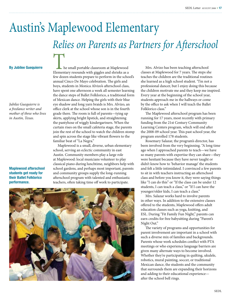### Austin's Maplewood Elementary *Relies on Parents as Partners for Afterschool*

*Jubilee Guequierre is a freelance writer and mother of three who lives in Austin, Texas.*

**Maplewood afterschool students get ready for their Ballet Folklorico performance.**

**By Jubilee Guequierre**<br> **Elementary resounds with giggles and shrieks as a** few dozen students prepare to perform in the school's annual Cinco De Mayo celebration. The girls and boys, students in Monica Alvizo's afterschool class, have spent one afternoon a week all semester learning the dance steps of Ballet Folklorico, a traditional form of Mexican dance. Helping the girls with their blue eye shadow and long yarn braids is Mrs. Alvizo, an office clerk at the school whose son is in the fourth grade there. The room is full of parents—tying up skirts, applying bright lipstick, and straightening the pantyhose of wiggly kindergartners. When the curtain rises on the small cafeteria stage, the parents join the rest of the school to watch the children stomp and spin across the stage like vibrant flowers to the familiar beat of "La Negra."

> Maplewood is a small, diverse, urban elementary school, serving an eclectic community in east Austin. Community members play a large role at Maplewood: local musicians volunteer to play classical piano during lunchtime, neighbors help with school gardens, and perhaps most important, parents and community groups supply the long-running afterschool program with talented and enthusiastic teachers, often taking time off work to participate.



Mrs. Alvizo has been teaching afterschool classes at Maplewood for 7 years. The steps she teaches the children are the traditional routines she learned as a high school student. "I'm not a professional dancer, but I enjoy doing this because the children motivate me and they keep me inspired. Every year at the beginning of the school year, students approach me in the hallways or come by the office to ask when I will teach the Ballet Folklorico class."

The Maplewood afterschool program has been running for 17 years, most recently with primary funding from the 21st Century Community Learning Centers program, which will end after the 2008-09 school year. This past school year, the program enrolled 178 students.

Rosemary Salazar, the program's director, has been involved from the very beginning. "A long time ago when I approached parents to teach—we have so many parents with expertise they can share—they were hesitant because they have never taught or didn't know how to 'behavior manage' the students and felt a little intimidated. I convinced a few parents to sit in with teachers instructing an afterschool class and before you know it, they were saying things like "I can do this" or "If the class can be under 12 students, I can teach a class," or "If I can have the younger/older kids, I can teach a class."

Mrs. Salazar works hard to involve parents in other ways. In addition to the extensive classes offered to the students, Maplewood offers adult education classes such as yoga, knitting, and ESL. During "Fit Family Fun Night," parents can earn credits for free babysitting during "Parent's Night Out."

The variety of programs and opportunities for parent involvement are important in a school with such a diverse mix of families and backgrounds. Parents whose work schedules conflict with PTA meetings or who experience language barriers are given many alternate ways to become involved. Whether they're participating in quilting, ukulele, robotics, mural painting, soccer, or traditional Mexican dance, the students and the community that surrounds them are expanding their horizons and adding to their educational experience after the school bell rings.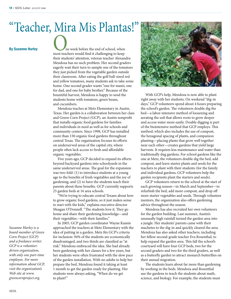# "Teacher, Mira Mis Plantas!"

**By Suzanne Hurley**<br> **By Suzanne Hurley**<br>
most teachers would find it challenging to keep their students' attention, veteran teacher Alexandra Mendoza has no such problem. Her second graders eagerly wait their turn to sample one of the tomatoes they just picked from the vegetable garden outside their classroom. After eating the golf ball-sized red and yellow tomatoes, many students ask to take some home. One second grader wants "one for mami, one for dad, and one for baby brother." Because of the bountiful harvest, Mendoza is happy to send the students home with tomatoes, green beans, and cucumbers.

> Mendoza teaches at Metz Elementary in Austin, Texas. Her garden is a collaboration between her class and Green Corn Project (GCP), an Austin nonprofit that installs organic food gardens for families and individuals in need as well as for schools and community centers. Since 1998, GCP has installed more than 150 organic food gardens throughout central Texas. The organization focuses its efforts on underserved areas of the capital city, where people often lack access to fresh and affordable organic vegetables.

Five years ago, GCP decided to expand its efforts beyond backyard gardens into schoolyards in the same underserved areas. The goal for the expansion was two-fold: (1) to introduce students at a young age to the benefits of fresh vegetables and the joy of gardening, and (2) to have the students teach their parents about these benefits. GCP currently supports 25 garden beds at 16 area schools.

"We're trying to educate central Texans about how to grow organic food gardens, so it just makes sense to start with the kids," explains executive director Meagan O'Donnell. "The students love it. They go home and share their gardening knowledge—and their vegetables—with their families."

In 2005, GCP garden coordinator Wayne Kamin approached the teachers at Metz Elementary with the idea of putting in a garden. Metz fits GCP's criteria for inclusion: 94% of the students are economically disadvantaged, and two thirds are classified as "at risk." Mendoza embraced the idea. She had already been gardening with her classes for a few years, but her students were often frustrated with the slow pace of the garden installation. With no adults to help her prepare the bed, Mendoza found it taking at least 1 month to get the garden ready for planting. Her students were always asking, "When do we get to plant?"

![](_page_17_Picture_8.jpeg)

With GCP's help, Mendoza is now able to plant right away with her students. On weekend "dig-in days," GCP volunteers spend about 4 hours preparing the school's garden. The volunteers double dig the bed—a labor-intensive method of loosening and aerating the soil that allows roots to grow deeper and access water more easily. Double digging is part of the biointensive method that GCP employs. This method, which also includes the use of compost, the hexagonal spacing of plants, and companion planting—placing plants that grow well together near each other—creates gardens that yield large harvests. It requires less maintenance and water than traditionally dug gardens. For school gardens like the one at Metz, the volunteers double dig the bed, add compost, and leave starter plants and seeds for the teachers to plant with their students (for the family and individual gardens, GCP volunteers help the garden recipients plant the starters and seeds).

GCP volunteers return to the school at the start of each growing season—in March and September—to refurbish the bed, add more compost, and drop off more starter vegetables and seeds. Through volunteer mentors, the organization also offers gardening advice throughout the season.

Mendoza has also recruited her own volunteers for the garden building. Last summer, Austin's unusually high rainfall turned the garden area into a jungle. Her students' parents came with their machetes to the dig-in and quickly cleared the area. Mendoza has also asked other teachers, including her fellow second-grade teacher Eva Rosenthal, to help expand the garden area. This fall the school's courtyard will have four GCP beds, two for the second graders and two for the third graders, as well as a butterfly garden to attract monarch butterflies on their annual migration.

The students learn about far more than gardening by working in the beds. Mendoza and Rosenthal use the gardens to teach the students about math, science, and biology. For example, the students must

*Suzanne Hurley is a board member of Green Corn Project (GCP) and a freelance writer. GCP is a volunteerdriven organization, with only one part-time employee. For more information about GCP, visit the organization's Web site at www. greencornproject.org.*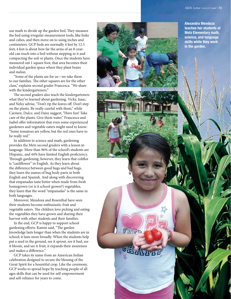use math to divide up the garden bed. They measure the bed using irregular measurement tools, like links and cubes, and then move on to using inches and centimeters. GCP beds are normally 4 feet by 12.5 feet; 4 feet is about how far the arms of an 8-yearold can reach into a bed without stepping in it and compacting the soil or plants. Once the students have measured out 1 square foot, that area becomes their individual garden space where they plant beans and melon.

"Some of the plants are for us—we take them to our families. The other squares are for the other class," explains second grader Francesca. "We share with the kindergarteners."

The second graders also teach the kindergarteners what they've learned about gardening. Vicky, Isaac, and Nelsy advise, "Don't rip the leaves off. Don't step on the plants. Be really careful with them," while Carmen, Dulce, and Daisy suggest, "Have fun! Take care of the plants. Give them water." Francesca and Isabel offer information that even some experienced gardeners and vegetable eaters might need to know: "Some tomatoes are yellow, but the red ones have to be really red."

In addition to science and math, gardening provides the Metz second graders with a lesson in language. More than 96% of the school's students are Hispanic, and 44% have limited English proficiency. Through gardening, however, they learn that coliflor is "cauliflower" in English. As they learn about the difference between good bugs and bad bugs, they learn the names of bug body parts in both English and Spanish. And along with discovering that empanadas taste better when made from fresh homegrown (or is it school-grown?) vegetables, they learn that the word "empanadas" is the same in both languages.

Moreover, Mendoza and Rosenthal have seen their students become enthusiastic fruit and vegetable eaters. The children love picking and eating the vegetables they have grown and sharing their harvest with other students and their families.

In the end, GCP is happy to support school gardening efforts. Kamin said, "The garden knowledge lasts longer than when the students are in school; it lasts more broadly. When the students help put a seed in the ground, see it sprout, see it bud, see it bloom, and see it fruit, it expands their awareness and makes a difference."

GCP takes its name from an American Indian celebration designed to secure the blessing of the Great Spirit for a bountiful crop. Like the ceremony, GCP works to spread hope by teaching people of all ages skills that can be used for self-empowerment and self-reliance for years to come.

![](_page_18_Picture_8.jpeg)

FREE

**Alexandra Mendoza teaches her students at Metz Elementary math, science, and language skills while they work in the garden.**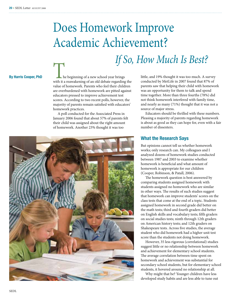## Does Homework Improve Academic Achievement?

**By Harris Cooper, PhD The beginning of a new school year brings** with it a reawakening of an old debate regarding the value of homework. Parents who feel their children are overburdened with homework are pitted against educators pressed to improve achievement test scores. According to two recent polls, however, the majority of parents remain satisfied with educators' homework practices.

> A poll conducted for the Associated Press in January 2006 found that about 57% of parents felt their child was assigned about the right amount of homework. Another 23% thought it was too

![](_page_19_Picture_5.jpeg)

little, and 19% thought it was too much. A survey conducted by MetLife in 2007 found that 87% of parents saw that helping their child with homework was an opportunity for them to talk and spend time together. More than three fourths (78%) did not think homework interfered with family time, and nearly as many (71%) thought that it was not a source of major stress.

Educators should be thrilled with these numbers. Pleasing a majority of parents regarding homework is about as good as they can hope for, even with a fair number of dissenters.

#### **What the Research Says**

*If So, How Much Is Best?* 

But opinions cannot tell us whether homework works; only research can. My colleagues and I analyzed dozens of homework studies conducted between 1987 and 2003 to examine whether homework is beneficial and what amount of homework is appropriate for our children (Cooper, Robinson, & Patall, 2006).

The homework question is best answered by comparing students assigned homework with students assigned no homework who are similar in other ways. The results of such studies suggest that homework can improve students' scores on the class tests that come at the end of a topic. Students assigned homework in second grade did better on the math tests; third and fourth graders did better on English skills and vocabulary tests; fifth graders on social studies tests; ninth through 12th graders on American history tests; and 12th graders on Shakespeare tests. Across five studies, the average student who did homework had a higher unit test score than the students not doing homework.

However, 35 less rigorous (correlational) studies suggest little or no relationship between homework and achievement for elementary school students. The average correlation between time spent on homework and achievement was substantial for secondary school students, but for elementary school students, it hovered around no relationship at all.

Why might that be? Younger children have less developed study habits and are less able to tune out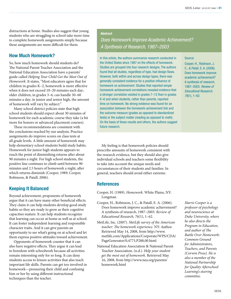distractions at home. Studies also suggest that young students who are struggling in school take more time to complete homework assignments simply because these assignments are more difficult for them.

#### **How Much Homework?**

So, how much homework should students do? The National Parent Teacher Association and the National Education Association have a parents' guide called *Helping Your Child Get the Most Out of Homework.* It states, "Most educators agree that for children in grades K–2, homework is more effective when it does not exceed 10–20 minutes each day; older children, in grades 3–6, can handle 30–60 minutes a day; in junior and senior high, the amount of homework will vary by subject."

Many school district policies state that high school students should expect about 30 minutes of homework for each academic course they take (a bit more for honors or advanced placement courses).

These recommendations are consistent with the conclusions reached by our analysis. Practice assignments do improve scores on class tests at all grade levels. A little amount of homework may help elementary school students build study habits. Homework for junior high students appears to reach the point of diminishing returns after about 90 minutes a night. For high school students, the positive line continues to climb until between 90 minutes and 2.5 hours of homework a night, after which returns diminish (Cooper, 1989; Cooper, Robinson, & Patall, 2006).

#### **Keeping It Balanced**

Beyond achievement, proponents of homework argue that it can have many other beneficial effects. They claim it can help students develop good study habits so they are ready to grow as their cognitive capacities mature. It can help students recognize that learning can occur at home as well as at school. It can foster independent learning and responsible character traits. And it can give parents an opportunity to see what's going on at school and let them express positive attitudes toward achievement.

Opponents of homework counter that it can also have negative effects. They argue it can lead to boredom with schoolwork because all activities remain interesting only for so long. It can deny students access to leisure activities that also teach important life skills. Parents can get too involved in homework—pressuring their child and confusing him or her by using different instructional techniques than the teacher.

#### **Abstract**

### *Does Homework Improve Academic Achievement? A Synthesis of Research, 1987–2003*

In this article, the authors summarize research conducted in the United States since 1987 on the effects of homework. Studies are grouped into four research designs. The authors found that all studies, regardless of type, had design flaws. However, both within and across design types, there was generally consistent evidence for a positive influence of homework on achievement. Studies that reported simple homework-achievement correlations revealed evidence that a stronger correlation existed in grades 7–12 than in grades K–6 and when students, rather than parents, reported time on homework. No strong evidence was found for an association between the homework-achievement link and the outcome measure (grades as opposed to standardized tests) or the subject matter (reading as opposed to math). On the basis of these results and others, the authors suggest future research.

#### Source:

Cooper, H., Robinson, J. C., & Patall, E. A. (2006). Does homework improve academic achievement? A synthesis of research, 1987–2003. *Review of Educational Research, 76*(1), 1–62.

My feeling is that homework policies should prescribe amounts of homework consistent with the research evidence, but they should also give individual schools and teachers some flexibility to take into account the unique needs and circumstances of their students and families. In general, teachers should avoid either extreme.

#### **References**

- Cooper, H. (1989). *Homework.* White Plains, NY: Longman.
- Cooper, H., Robinson, J. C., & Patall, E. A. (2006). Does homework improve academic achievement? A synthesis of research, 1987–2003. *Review of Educational Research, 76*(1), 1–62.
- MetLife, Inc. (2007). *MetLife survey of the American teacher: The homework experience.* NY: Author. Retrieved May 14, 2008, from http://www. metlife.com/Applications/Corporate/WPS/CDA/ PageGenerator/0,4773,P288,00.html
- National Education Association & National Parent Teacher Association. (n.d.). *Help your student get the most out of homework.* Retrieved May 16, 2008, from http://www.nea.org/parents/ homework.html

*Harris Cooper is a professor of psychology and neuroscience at Duke University, where he also directs the Program in Education, and author of The Battle Over Homework: Common Ground for Administrators, Teachers, and Parents (Corwin Press). He is also a member of the National Partnership for Quality Afterschool Learning's steering committee.*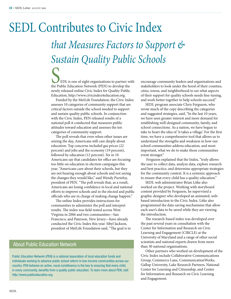## *that Measures Factors to Support & Sustain Quality Public Schools* SEDL Contributes to Civic Index

**SEDL** is one of eight organizations to partner with the Public Education Network (PEN) to develop the newly released online Civic Index for Quality Public Education, http://www.civicindex4education.org.

Funded by the MetLife Foundation, the Civic Index assesses 10 categories of community support that are critical factors outside the school needed to support and sustain quality public schools. In conjunction with the Civic Index, PEN released results of a national poll it conducted that measures public attitudes toward education and assesses the ten categories of community support.

The poll reveals that even when other issues are seizing the day, Americans still care deeply about education. Top concerns included gas prices (22 percent) and jobs and the economy (19 percent), followed by education (12 percent). Six in 10 Americans say that candidates for office are focusing too little on education in election campaigns this year. "Americans care about their schools, but they are not hearing enough about schools and not seeing the changes they would like," said Wendy Puriefoy, president of PEN. "The poll reveals that, as a result, Americans are losing confidence in local and national efforts to improve schools and in the elected and public officials who are in charge of making change happen."

The online Index provides instructions for communities to administer the poll and interpret results. The index was field-tested across West Virginia in 2006 and two communities—San Francisco, and Paterson, New Jersey—have already conducted the Civic Index this year. Sibyl Jackson, president of MetLife Foundation said, "The goal is to

#### About Public Education Network

Public Education Network (PEN) is a national association of local education funds and individuals working to advance public school reform in low-income communities across our country. PEN believes an active, vocal constituency is the key to ensuring that every child, in every community, benefits from a quality public education. To learn more about PEN, visit http://www.publiceducation.org.

encourage community leaders and organizations and stakeholders to look under the hood of their counties, cities, towns, and neighborhood to see what aspects of their support for quality schools needs fine-tuning, and work better together to help schools succeed."

SEDL program associate Chris Ferguson, who wrote much of the copy describing the categories and suggested strategies, said, "In the last 10 years, we have seen greater interest and more demand for establishing well-designed community, family, and school connections. As a nation, we have begun to take to heart the idea of 'it takes a village.' For the first time, we have a comprehensive tool that allows us to understand the strengths and weakness in how our school communities address education, and most important, what we do to make those communities event stronger."

 Ferguson explained that the Index, "truly allows the user to collect data, analyze data, explore research and best practice, and determine appropriate strategies for the community context. It is a systemic approach to ensure that every child has a quality education."

SEDL web administrator Brian Litke also worked on the project. Working with storyboard content provided by Ferguson, he supervised a graphic designer who developed an animated, webbased introduction to the Civic Index. Litke also programmed the data-saving mechanisms that allow each user's data to be saved while they are viewing the introduction.

The research-based index was developed over the past several years in consultation with the Center for Information and Research on Civic Learning and Engagement (CIRCLE) at the University of Maryland and a range of other social scientists and national experts drawn from more than 30 national organizations.

Other partners who worked on development of the Civic Index include Collaborative Communications Group, Commerce Lane, CommunicationWorks, Gallup University, Lake Research Partners, National Center for Learning and Citizenship, and Center for Information and Research on Civic Learning and Engagement.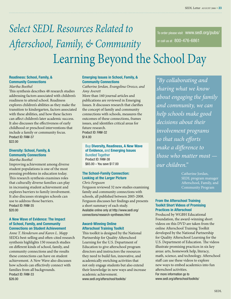### *Select SEDL Resources Related to Afterschool, Family, & Community*  Learning Beyond the School Day To order please visit www.sedl.org/pubs/ or call us at 800-476-6861

#### **Readiness: School, Family, & Community Connections**

#### *Martha Boethel*

This synthesis describes 48 research studies addressing factors associated with children's readiness to attend school. Readiness explores children's abilities as they make the transition to kindergarten, factors associated with these abilities, and how these factors can affect children's later academic success. It also discusses the effectiveness of early childhood or preschool interventions that include a family or community focus. Product ID: FAM-37 \$22.00

#### **Diversity: School, Family, & Community Connections**

*Martha Boethel*

Improving achievement among diverse student populations is one of the most pressing problems in education today. This research synthesis examines roles that culturally diverse families can play in increasing student achievement and explores barriers to family involvement. It also discusses strategies schools can use to address those barriers. Product ID: FAM-35 \$20.00

#### **A New Wave of Evidence: The Impact of School, Family, and Community Connections on Student Achievement**

*Anne T. Henderson and Karen L. Mapp* SEDL's best-selling and often-cited research synthesis highlights 150 research studies on different kinds of school, family, and community connections and the results these connections can have on student achievement. A New Wave also discusses how schools can effectively connect with families from all backgrounds. Product ID: FAM-33 \$26.00

#### **Emerging Issues in School, Family, & Community Connections**

*Catherine Jordan, Evangelina Orozco, and Amy Averett*

More than 160 journal articles and publications are reviewed in Emerging Issues. It discusses research that clarifies the concept of family and community connections with schools, measures the outcomes of these connections, frames issues, and identifies critical areas for future research. Product ID: FAM-32 \$14.00

#### Buy **Diversity, Readiness, A New Wave of Evidence,** and **Emerging Issues**  Bundled Together Product ID: FAM-38 \$65.00 – You save \$17.00

#### **The School-Family Connection: Looking at the Larger Picture**

*Chris Ferguson*

Ferguson reviewed 32 new studies examining family and community connections with schools, all published between 2005-2008. Ferguson discusses her findings and presents a short summary of each study. Available online only at http://www.sedl.org/ connections/research-syntheses.html

#### **Award-Winning Online Afterschool Training Toolkit**

This toolkit is designed by the National Partnership for Quality Afterschool Learning for the U.S. Department of Education to give afterschool program directors and instructors the resources they need to build fun, innovative, and academically enriching activities that not only engage students but also extend their knowledge in new ways and increase academic achievement. www.sedl.org/afterschool/toolkits/

*"By collaborating and sharing what we know about engaging the family and community, we can help schools make good decisions about their involvement programs so that such efforts make a difference to those who matter most our children."*

> Catherine Jordan, SEDL program manager Afterschool, Family, and Community Program

#### **From the Afterschool Training Toolkit Short Videos of Promising Practices in Afterschool**

Produced by WGBH Educational Foundation, the award-winning short videos on this DVD are taken from the online Afterschool Training Toolkit developed by the National Partnership for Quality Afterschool Learning for the U.S. Department of Education. The videos illustrate promising practices in six key areas: arts, homework help, literacy, math, science, and technology. Afterschool staff can use these videos to explore new ways to embed academics into fun afterschool activities. For more information go to

www.sedl.org/afterschool/toolkits/